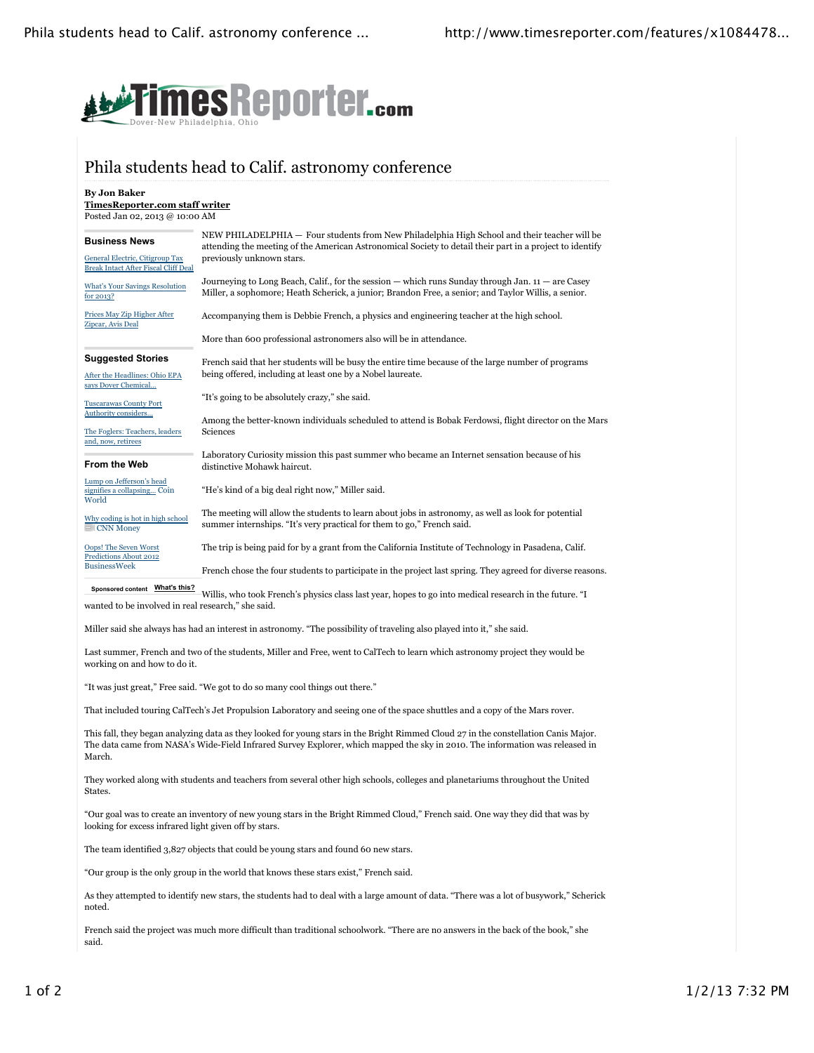

#### Phila students head to Calif. astronomy conference

**By Jon Baker TimesReporter.com staff writer** Posted Jan 02, 2013 @ 10:00 AM

| <b>Business News</b><br>General Electric, Citigroup Tax<br><b>Break Intact After Fiscal Cliff Deal</b>       | NEW PHILADELPHIA - Four students from New Philadelphia High School and their teacher will be<br>attending the meeting of the American Astronomical Society to detail their part in a project to identify<br>previously unknown stars. |
|--------------------------------------------------------------------------------------------------------------|---------------------------------------------------------------------------------------------------------------------------------------------------------------------------------------------------------------------------------------|
| <b>What's Your Savings Resolution</b><br>for 2013?                                                           | Journeying to Long Beach, Calif., for the session — which runs Sunday through Jan. $11$ — are Casey<br>Miller, a sophomore; Heath Scherick, a junior; Brandon Free, a senior; and Taylor Willis, a senior.                            |
| Prices May Zip Higher After<br>Zipcar, Avis Deal                                                             | Accompanying them is Debbie French, a physics and engineering teacher at the high school.                                                                                                                                             |
|                                                                                                              | More than 600 professional astronomers also will be in attendance.                                                                                                                                                                    |
| <b>Suggested Stories</b><br>After the Headlines: Ohio EPA<br>says Dover Chemical                             | French said that her students will be busy the entire time because of the large number of programs<br>being offered, including at least one by a Nobel laureate.                                                                      |
| <b>Tuscarawas County Port</b><br>Authority considers<br>The Foglers: Teachers, leaders<br>and, now, retirees | "It's going to be absolutely crazy," she said.<br>Among the better-known individuals scheduled to attend is Bobak Ferdowsi, flight director on the Mars<br>Sciences                                                                   |
| <b>From the Web</b>                                                                                          | Laboratory Curiosity mission this past summer who became an Internet sensation because of his<br>distinctive Mohawk haircut.                                                                                                          |
| Lump on Jefferson's head<br>signifies a collapsing Coin<br>World                                             | "He's kind of a big deal right now," Miller said.                                                                                                                                                                                     |
| Why coding is hot in high school<br>$=$ CNN Money                                                            | The meeting will allow the students to learn about jobs in astronomy, as well as look for potential<br>summer internships. "It's very practical for them to go," French said.                                                         |
| <b>Oops! The Seven Worst</b><br>Predictions About 2012                                                       | The trip is being paid for by a grant from the California Institute of Technology in Pasadena, Calif.                                                                                                                                 |
| <b>BusinessWeek</b>                                                                                          | French chose the four students to participate in the project last spring. They agreed for diverse reasons.                                                                                                                            |
| Sponsored content What's this?                                                                               | Willis, who took French's physics class last year, hopes to go into medical research in the future. "I                                                                                                                                |
| wanted to be involved in real research," she said.                                                           |                                                                                                                                                                                                                                       |

Miller said she always has had an interest in astronomy. "The possibility of traveling also played into it," she said.

Last summer, French and two of the students, Miller and Free, went to CalTech to learn which astronomy project they would be working on and how to do it.

"It was just great," Free said. "We got to do so many cool things out there."

That included touring CalTech's Jet Propulsion Laboratory and seeing one of the space shuttles and a copy of the Mars rover.

This fall, they began analyzing data as they looked for young stars in the Bright Rimmed Cloud 27 in the constellation Canis Major. The data came from NASA's Wide-Field Infrared Survey Explorer, which mapped the sky in 2010. The information was released in March.

They worked along with students and teachers from several other high schools, colleges and planetariums throughout the United States.

"Our goal was to create an inventory of new young stars in the Bright Rimmed Cloud," French said. One way they did that was by looking for excess infrared light given off by stars.

The team identified 3,827 objects that could be young stars and found 60 new stars.

"Our group is the only group in the world that knows these stars exist," French said.

As they attempted to identify new stars, the students had to deal with a large amount of data. "There was a lot of busywork," Scherick noted.

French said the project was much more difficult than traditional schoolwork. "There are no answers in the back of the book," she said.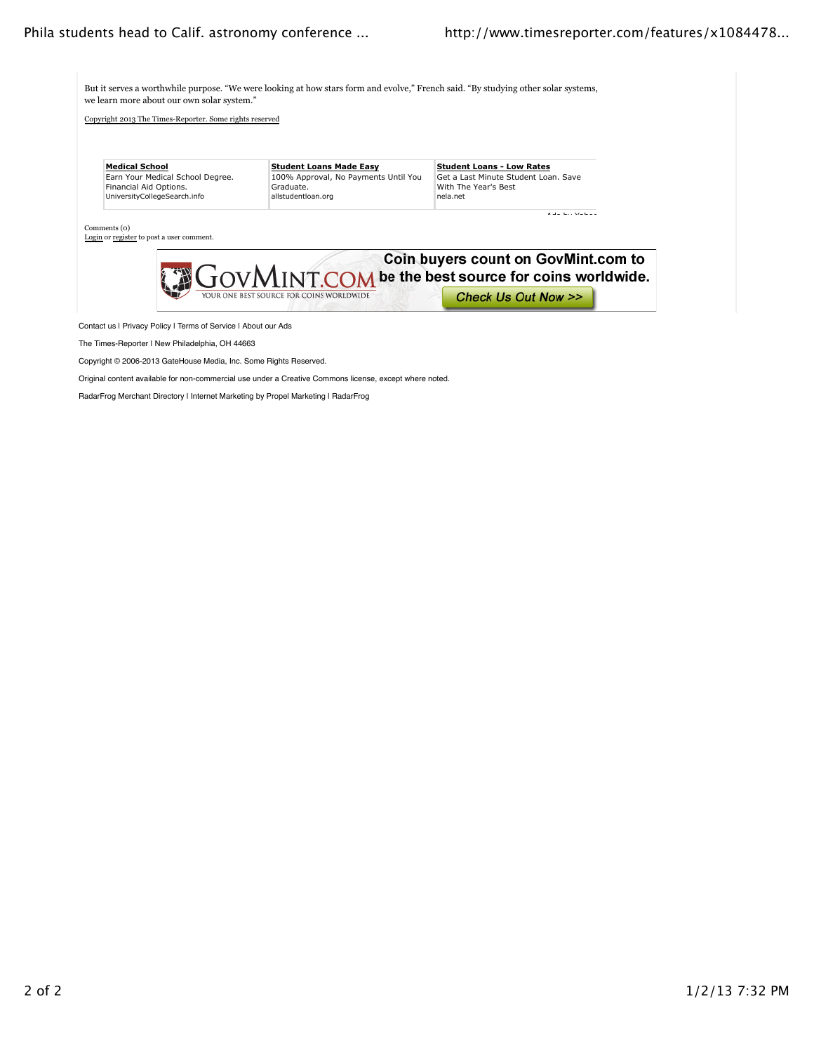But it serves a worthwhile purpose. "We were looking at how stars form and evolve," French said. "By studying other solar systems, we learn more about our own solar system."

Copyright 2013 The Times-Reporter. Some rights reserved

| <b>Medical School</b>            | <b>Student Loans Made Easy</b>       | <b>Student Loans - Low Rates</b>     |
|----------------------------------|--------------------------------------|--------------------------------------|
| Earn Your Medical School Degree. | 100% Approval, No Payments Until You | Get a Last Minute Student Loan, Save |
| Financial Aid Options.           | Graduate.                            | With The Year's Best                 |
| UniversityCollegeSearch.info     | allstudentloan.org                   | nela.net                             |
|                                  |                                      | $\cdots$                             |



Contact us | Privacy Policy | Terms of Service | About our Ads

The Times-Reporter | New Philadelphia, OH 44663

Copyright © 2006-2013 GateHouse Media, Inc. Some Rights Reserved.

Original content available for non-commercial use under a Creative Commons license, except where noted.

RadarFrog Merchant Directory | Internet Marketing by Propel Marketing | RadarFrog